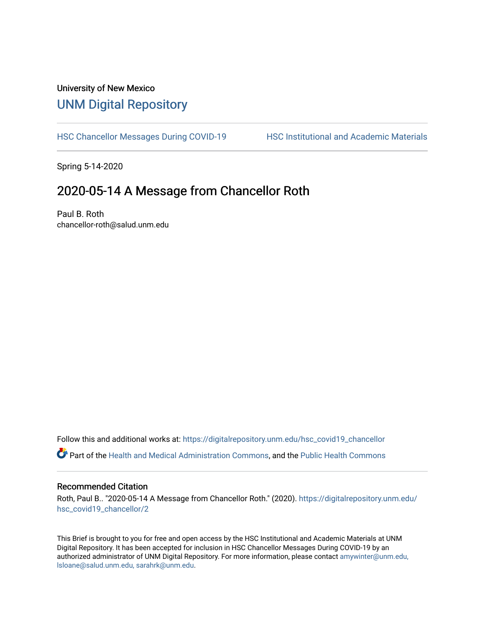# University of New Mexico [UNM Digital Repository](https://digitalrepository.unm.edu/)

[HSC Chancellor Messages During COVID-19](https://digitalrepository.unm.edu/hsc_covid19_chancellor) HSC Institutional and Academic Materials

Spring 5-14-2020

## 2020-05-14 A Message from Chancellor Roth

Paul B. Roth chancellor-roth@salud.unm.edu

Follow this and additional works at: [https://digitalrepository.unm.edu/hsc\\_covid19\\_chancellor](https://digitalrepository.unm.edu/hsc_covid19_chancellor?utm_source=digitalrepository.unm.edu%2Fhsc_covid19_chancellor%2F2&utm_medium=PDF&utm_campaign=PDFCoverPages) Part of the [Health and Medical Administration Commons](http://network.bepress.com/hgg/discipline/663?utm_source=digitalrepository.unm.edu%2Fhsc_covid19_chancellor%2F2&utm_medium=PDF&utm_campaign=PDFCoverPages), and the [Public Health Commons](http://network.bepress.com/hgg/discipline/738?utm_source=digitalrepository.unm.edu%2Fhsc_covid19_chancellor%2F2&utm_medium=PDF&utm_campaign=PDFCoverPages) 

### Recommended Citation

Roth, Paul B.. "2020-05-14 A Message from Chancellor Roth." (2020). [https://digitalrepository.unm.edu/](https://digitalrepository.unm.edu/hsc_covid19_chancellor/2?utm_source=digitalrepository.unm.edu%2Fhsc_covid19_chancellor%2F2&utm_medium=PDF&utm_campaign=PDFCoverPages) [hsc\\_covid19\\_chancellor/2](https://digitalrepository.unm.edu/hsc_covid19_chancellor/2?utm_source=digitalrepository.unm.edu%2Fhsc_covid19_chancellor%2F2&utm_medium=PDF&utm_campaign=PDFCoverPages) 

This Brief is brought to you for free and open access by the HSC Institutional and Academic Materials at UNM Digital Repository. It has been accepted for inclusion in HSC Chancellor Messages During COVID-19 by an authorized administrator of UNM Digital Repository. For more information, please contact [amywinter@unm.edu,](mailto:amywinter@unm.edu,%20lsloane@salud.unm.edu,%20sarahrk@unm.edu)  [lsloane@salud.unm.edu, sarahrk@unm.edu.](mailto:amywinter@unm.edu,%20lsloane@salud.unm.edu,%20sarahrk@unm.edu)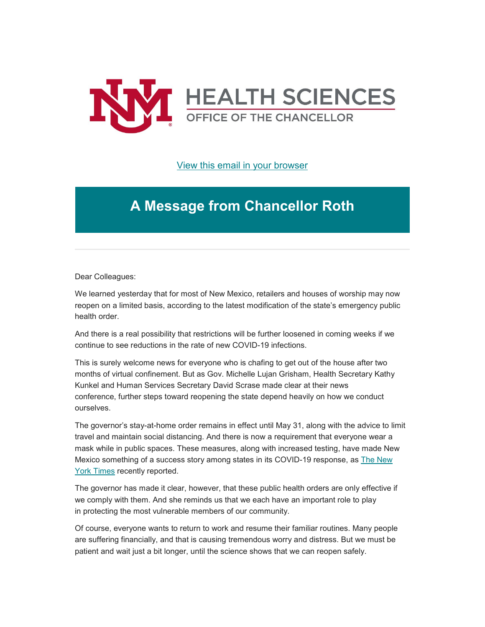

[View this email in your browser](https://mailchi.mp/01b2ef7373fc/message-from-the-chancellor-coronavirus-4414788?e=b4bbfca2c0)

# **A Message from Chancellor Roth**

Dear Colleagues:

We learned yesterday that for most of New Mexico, retailers and houses of worship may now reopen on a limited basis, according to the latest modification of the state's emergency public health order.

And there is a real possibility that restrictions will be further loosened in coming weeks if we continue to see reductions in the rate of new COVID-19 infections.

This is surely welcome news for everyone who is chafing to get out of the house after two months of virtual confinement. But as Gov. Michelle Lujan Grisham, Health Secretary Kathy Kunkel and Human Services Secretary David Scrase made clear at their news conference, further steps toward reopening the state depend heavily on how we conduct ourselves.

The governor's stay-at-home order remains in effect until May 31, along with the advice to limit travel and maintain social distancing. And there is now a requirement that everyone wear a mask while in public spaces. These measures, along with increased testing, have made New Mexico something of a success story among states in its COVID-19 response, as [The New](https://unm.us19.list-manage.com/track/click?u=59ce53c1a4dedb490bac78648&id=4df8541b97&e=b4bbfca2c0)  [York Times](https://unm.us19.list-manage.com/track/click?u=59ce53c1a4dedb490bac78648&id=4df8541b97&e=b4bbfca2c0) recently reported.

The governor has made it clear, however, that these public health orders are only effective if we comply with them. And she reminds us that we each have an important role to play in protecting the most vulnerable members of our community.

Of course, everyone wants to return to work and resume their familiar routines. Many people are suffering financially, and that is causing tremendous worry and distress. But we must be patient and wait just a bit longer, until the science shows that we can reopen safely.